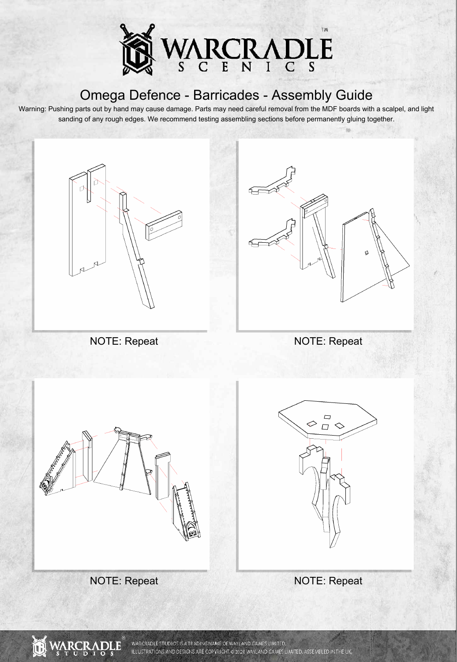

Warning: Pushing parts out by hand may cause damage. Parts may need careful removal from the MDF boards with a scalpel, and light sanding of any rough edges. We recommend testing assembling sections before permanently gluing together.





NOTE: Repeat NOTE: Repeat



NOTE: Repeat NOTE: Repeat



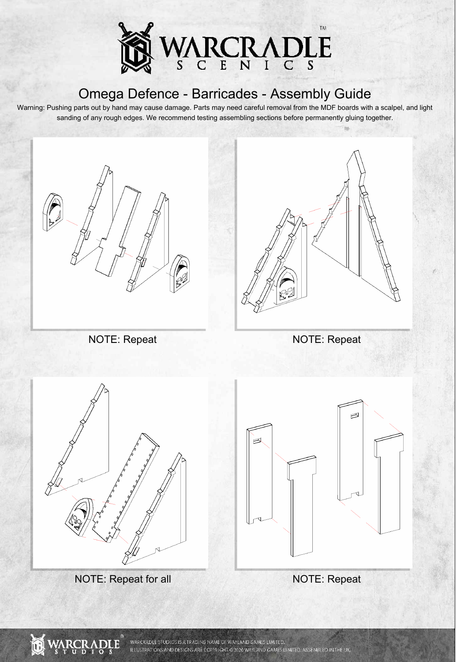

Warning: Pushing parts out by hand may cause damage. Parts may need careful removal from the MDF boards with a scalpel, and light sanding of any rough edges. We recommend testing assembling sections before permanently gluing together.







NOTE: Repeat for all NOTE: Repeat



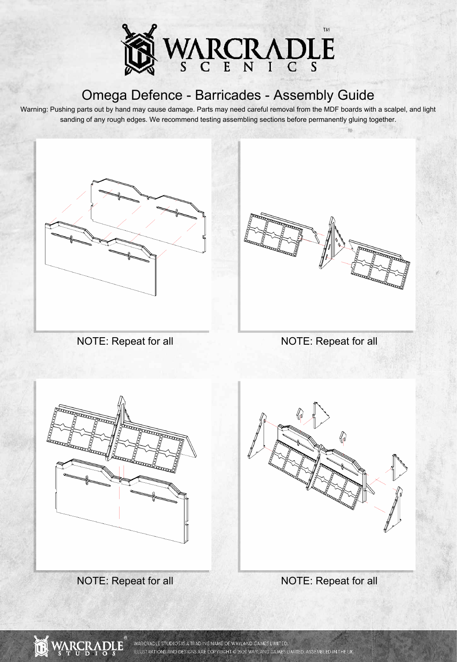

Warning: Pushing parts out by hand may cause damage. Parts may need careful removal from the MDF boards with a scalpel, and light sanding of any rough edges. We recommend testing assembling sections before permanently gluing together.













WARCRADLE STUDIOS IS A TRADING NAME OF WAYLAND GAMES LIMITED. ILLUSTRATIONS AND DESIGNS ARE COPYRIGHT © 2020 WAYLAND GAMES LIMITED. ASSEMBLED IN THE UK